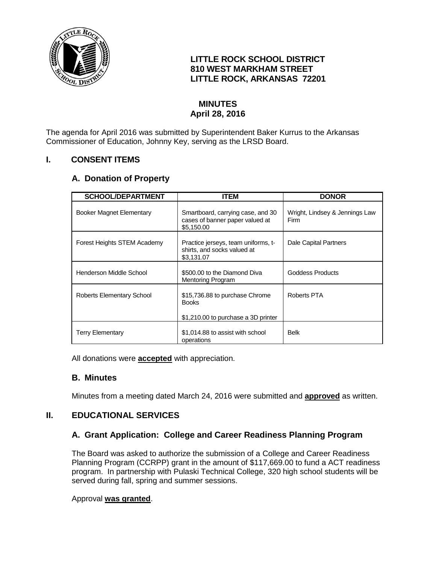

## **LITTLE ROCK SCHOOL DISTRICT 810 WEST MARKHAM STREET LITTLE ROCK, ARKANSAS 72201**

# **MINUTES April 28, 2016**

The agenda for April 2016 was submitted by Superintendent Baker Kurrus to the Arkansas Commissioner of Education, Johnny Key, serving as the LRSD Board.

## **I. CONSENT ITEMS**

# **A. Donation of Property**

| <b>SCHOOL/DEPARTMENT</b>        | ITEM                                                                                  | <b>DONOR</b>                           |
|---------------------------------|---------------------------------------------------------------------------------------|----------------------------------------|
| <b>Booker Magnet Elementary</b> | Smartboard, carrying case, and 30<br>cases of banner paper valued at<br>\$5.150.00    | Wright, Lindsey & Jennings Law<br>Firm |
| Forest Heights STEM Academy     | Practice jerseys, team uniforms, t-<br>shirts, and socks valued at<br>\$3,131.07      | Dale Capital Partners                  |
| Henderson Middle School         | \$500,00 to the Diamond Diva<br>Mentoring Program                                     | Goddess Products                       |
| Roberts Elementary School       | \$15,736.88 to purchase Chrome<br><b>Books</b><br>\$1,210.00 to purchase a 3D printer | Roberts PTA                            |
| <b>Terry Elementary</b>         | \$1,014.88 to assist with school<br>operations                                        | Belk                                   |

All donations were **accepted** with appreciation.

## **B. Minutes**

Minutes from a meeting dated March 24, 2016 were submitted and **approved** as written.

## **II. EDUCATIONAL SERVICES**

## **A. Grant Application: College and Career Readiness Planning Program**

The Board was asked to authorize the submission of a College and Career Readiness Planning Program (CCRPP) grant in the amount of \$117,669.00 to fund a ACT readiness program. In partnership with Pulaski Technical College, 320 high school students will be served during fall, spring and summer sessions.

#### Approval **was granted**.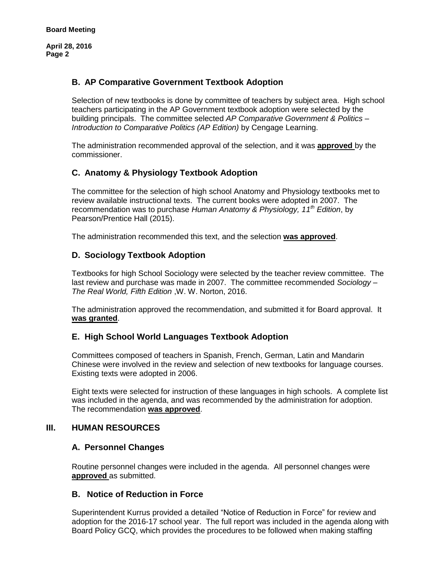**April 28, 2016 Page 2**

## **B. AP Comparative Government Textbook Adoption**

Selection of new textbooks is done by committee of teachers by subject area. High school teachers participating in the AP Government textbook adoption were selected by the building principals. The committee selected *AP Comparative Government & Politics – Introduction to Comparative Politics (AP Edition)* by Cengage Learning.

The administration recommended approval of the selection, and it was **approved** by the commissioner.

# **C. Anatomy & Physiology Textbook Adoption**

The committee for the selection of high school Anatomy and Physiology textbooks met to review available instructional texts. The current books were adopted in 2007. The recommendation was to purchase *Human Anatomy & Physiology, 11th Edition*, by Pearson/Prentice Hall (2015).

The administration recommended this text, and the selection **was approved**.

## **D. Sociology Textbook Adoption**

Textbooks for high School Sociology were selected by the teacher review committee. The last review and purchase was made in 2007. The committee recommended *Sociology – The Real World, Fifth Edition* ,W. W. Norton, 2016.

The administration approved the recommendation, and submitted it for Board approval. It **was granted**.

## **E. High School World Languages Textbook Adoption**

Committees composed of teachers in Spanish, French, German, Latin and Mandarin Chinese were involved in the review and selection of new textbooks for language courses. Existing texts were adopted in 2006.

Eight texts were selected for instruction of these languages in high schools. A complete list was included in the agenda, and was recommended by the administration for adoption. The recommendation **was approved**.

## **III. HUMAN RESOURCES**

#### **A. Personnel Changes**

Routine personnel changes were included in the agenda. All personnel changes were **approved** as submitted.

#### **B. Notice of Reduction in Force**

Superintendent Kurrus provided a detailed "Notice of Reduction in Force" for review and adoption for the 2016-17 school year. The full report was included in the agenda along with Board Policy GCQ, which provides the procedures to be followed when making staffing